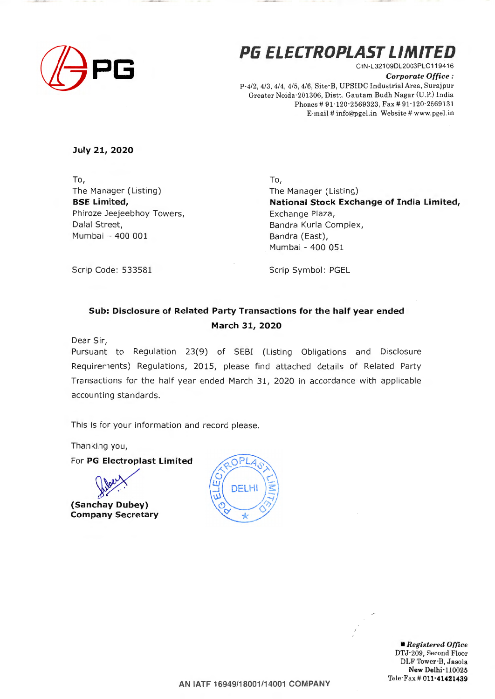

# **PG ELECTROPLAST LIMITED** CIN-L321 09DL2003PLC11941 6

*Corporate Office :*  P-4/2, 4/3, 4/4, 4/5, 4/6, Site-B, UPSIDC Industrial Area, Surajpur Greater Noida -201306, Distt. Gautam Budh Nagar (U.P.) India Phones # 91-120-2569323, Fax # 91-120-2569131 E-mail# info@pgel.in Website # www.pgel.in

**July 21, 2020** 

To, The Manager (Listing) **BSE Limited,**  Phiroze Jeejeebhoy Towers, Dalal Street, Mumbai - 400 001

To, The Manager (Listing) **National Stock Exchange of India Limited,**  Exchange Plaza, Bandra Kurla Complex, Bandra (East), Mumbai - 400 051

Scrip Code: 533581

Scrip Symbol: PGEL

## **Sub: Disclosure of Related Party Transactions for the half year ended March 31, 2020**

Dear Sir,

Pursuant to Regulation 23(9) of SEBI (Listing Obligations and Disclosure Requirements) Regulations, 2015, please find attached details of Related Party Transactions for the half year ended March 31, 2020 in accordance with applicable accounting standards.

This is for your information and record please.

Thanking you,

For **PG Electroplast Limited** 



**Company Secretary** 



• *Registered Office*  DTJ-209, Second Floor DLF Tower-B. Jasola **New** Delhi-110025 Tele-Fax# **011·41421439** 

**AN IATF 16949/18001/14001 COMPANY**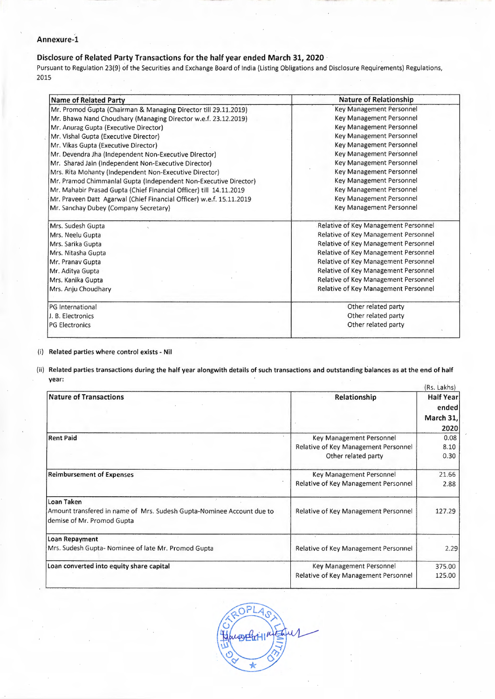### **Annexure-1**

## **Disclosure of Related Party Transactions for the half year ended March 31, 2020**

Pursuant to Regulation 23(9) of the Securities and Exchange Board of India (Listing Obligations and Disclosure Requirements) Regulations, 2015

| <b>Name of Related Party</b>                                         | <b>Nature of Relationship</b>                                                                                                                                                                    |  |  |
|----------------------------------------------------------------------|--------------------------------------------------------------------------------------------------------------------------------------------------------------------------------------------------|--|--|
| Mr. Promod Gupta (Chairman & Managing Director till 29.11.2019)      | Key Management Personnel                                                                                                                                                                         |  |  |
| Mr. Bhawa Nand Choudhary (Managing Director w.e.f. 23.12.2019)       | Key Management Personnel                                                                                                                                                                         |  |  |
| Mr. Anurag Gupta (Executive Director)                                | Key Management Personnel<br>Key Management Personnel<br>Key Management Personnel<br>Key Management Personnel<br>Key Management Personnel<br>Key Management Personnel<br>Key Management Personnel |  |  |
| Mr. Vishal Gupta (Executive Director)                                |                                                                                                                                                                                                  |  |  |
| Mr. Vikas Gupta (Executive Director)                                 |                                                                                                                                                                                                  |  |  |
| Mr. Devendra Jha (Independent Non-Executive Director)                |                                                                                                                                                                                                  |  |  |
| Mr. Sharad Jain (Independent Non-Executive Director)                 |                                                                                                                                                                                                  |  |  |
| Mrs. Rita Mohanty (Independent Non-Executive Director)               |                                                                                                                                                                                                  |  |  |
| Mr. Pramod Chimmanlal Gupta (Independent Non-Executive Director)     |                                                                                                                                                                                                  |  |  |
| Mr. Mahabir Prasad Gupta (Chief Financial Officer) till 14.11.2019   | Key Management Personnel                                                                                                                                                                         |  |  |
| Mr. Praveen Datt Agarwal (Chief Financial Officer) w.e.f. 15.11.2019 | Key Management Personnel<br>Key Management Personnel                                                                                                                                             |  |  |
| Mr. Sanchay Dubey (Company Secretary)                                |                                                                                                                                                                                                  |  |  |
| Mrs. Sudesh Gupta                                                    | Relative of Key Management Personnel                                                                                                                                                             |  |  |
| Mrs. Neelu Gupta                                                     | Relative of Key Management Personnel<br>Relative of Key Management Personnel<br>Relative of Key Management Personnel                                                                             |  |  |
| Mrs. Sarika Gupta                                                    |                                                                                                                                                                                                  |  |  |
| Mrs. Nitasha Gupta                                                   |                                                                                                                                                                                                  |  |  |
| Mr. Pranav Gupta                                                     | Relative of Key Management Personnel                                                                                                                                                             |  |  |
| Mr. Aditya Gupta                                                     | Relative of Key Management Personnel                                                                                                                                                             |  |  |
| Mrs. Kanika Gupta                                                    | Relative of Key Management Personnel                                                                                                                                                             |  |  |
| Mrs. Anju Choudhary                                                  | Relative of Key Management Personnel                                                                                                                                                             |  |  |
| PG International                                                     | Other related party                                                                                                                                                                              |  |  |
| J. B. Electronics                                                    | Other related party                                                                                                                                                                              |  |  |
| <b>PG Electronics</b>                                                | Other related party                                                                                                                                                                              |  |  |
|                                                                      |                                                                                                                                                                                                  |  |  |

#### (i) **Related parties where control exists- Nil**

(ii) **Related parties transactions during the half year alongwith details of such transactions and outstanding balances as at the end of half year:**   $(Rc \mid akh c)$ 

|                                      | Half Year<br>ended                                                               |  |
|--------------------------------------|----------------------------------------------------------------------------------|--|
|                                      |                                                                                  |  |
|                                      | March $31,$                                                                      |  |
|                                      |                                                                                  |  |
|                                      | 2020                                                                             |  |
|                                      | 0.08                                                                             |  |
|                                      | 8.10                                                                             |  |
| Other related party                  | 0.30                                                                             |  |
| Key Management Personnel             | 21.66                                                                            |  |
| Relative of Key Management Personnel | 2.88                                                                             |  |
|                                      |                                                                                  |  |
| Relative of Key Management Personnel | 127.29                                                                           |  |
|                                      |                                                                                  |  |
|                                      |                                                                                  |  |
| Relative of Key Management Personnel | 2.29                                                                             |  |
| Key Management Personnel             | 375.00                                                                           |  |
| Relative of Key Management Personnel | 125.00                                                                           |  |
|                                      | Relationship<br>Key Management Personnel<br>Relative of Key Management Personnel |  |